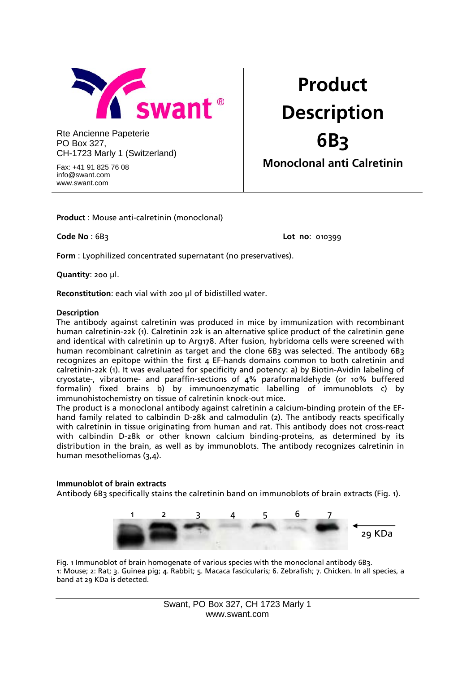

Rte Ancienne Papeterie PO Box 327, CH-1723 Marly 1 (Switzerland)

Fax: +41 91 825 76 08 info@swant.com www.swant.com

# **Product Description 6B3 Monoclonal anti Calretinin**

**Product** : Mouse anti-calretinin (monoclonal)

**Code No** : 6B3 **Lot no**: 010399

**Form** : Lyophilized concentrated supernatant (no preservatives).

**Quantity**: 200 µl.

**Reconstitution**: each vial with 200 µl of bidistilled water.

#### **Description**

The antibody against calretinin was produced in mice by immunization with recombinant human calretinin-22k (1). Calretinin 22k is an alternative splice product of the calretinin gene and identical with calretinin up to Arg178. After fusion, hybridoma cells were screened with human recombinant calretinin as target and the clone 6B3 was selected. The antibody 6B3 recognizes an epitope within the first 4 EF-hands domains common to both calretinin and calretinin-22k (1). It was evaluated for specificity and potency: a) by Biotin-Avidin labeling of cryostate-, vibratome- and paraffin-sections of 4% paraformaldehyde (or 10% buffered formalin) fixed brains b) by immunoenzymatic labelling of immunoblots c) by immunohistochemistry on tissue of calretinin knock-out mice.

The product is a monoclonal antibody against calretinin a calcium-binding protein of the EFhand family related to calbindin D-28k and calmodulin (2). The antibody reacts specifically with calretinin in tissue originating from human and rat. This antibody does not cross-react with calbindin D-28k or other known calcium binding-proteins, as determined by its distribution in the brain, as well as by immunoblots. The antibody recognizes calretinin in human mesotheliomas (3,4).

#### **Immunoblot of brain extracts**

Antibody 6B<sub>3</sub> specifically stains the calretinin band on immunoblots of brain extracts (Fig. 1).



Fig. 1 Immunoblot of brain homogenate of various species with the monoclonal antibody 6B3. 1: Mouse; 2: Rat; 3. Guinea pig; 4. Rabbit; 5. Macaca fascicularis; 6. Zebrafish; 7. Chicken. In all species, a band at 29 KDa is detected.

> Swant, PO Box 327, CH 1723 Marly 1 www.swant.com